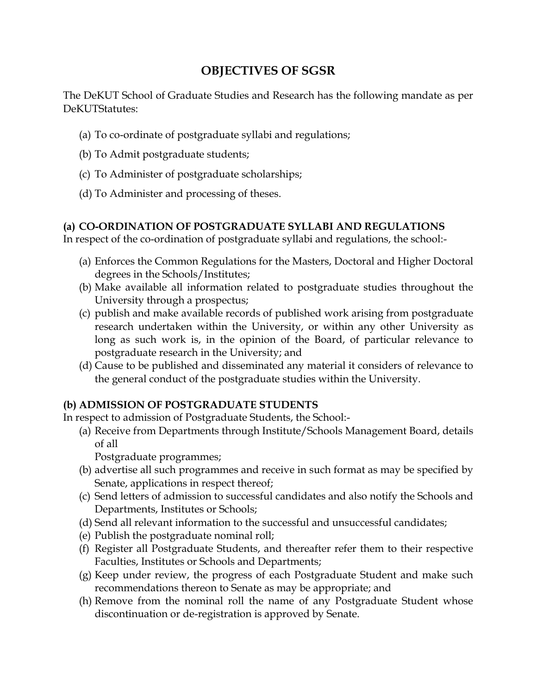# **OBJECTIVES OF SGSR**

The DeKUT School of Graduate Studies and Research has the following mandate as per DeKUTStatutes:

- (a) To co-ordinate of postgraduate syllabi and regulations;
- (b) To Admit postgraduate students;
- (c) To Administer of postgraduate scholarships;
- (d) To Administer and processing of theses.

# **(a) CO-ORDINATION OF POSTGRADUATE SYLLABI AND REGULATIONS**

In respect of the co-ordination of postgraduate syllabi and regulations, the school:-

- (a) Enforces the Common Regulations for the Masters, Doctoral and Higher Doctoral degrees in the Schools/Institutes;
- (b) Make available all information related to postgraduate studies throughout the University through a prospectus;
- (c) publish and make available records of published work arising from postgraduate research undertaken within the University, or within any other University as long as such work is, in the opinion of the Board, of particular relevance to postgraduate research in the University; and
- (d) Cause to be published and disseminated any material it considers of relevance to the general conduct of the postgraduate studies within the University.

### **(b) ADMISSION OF POSTGRADUATE STUDENTS**

In respect to admission of Postgraduate Students, the School:-

(a) Receive from Departments through Institute/Schools Management Board, details of all

Postgraduate programmes;

- (b) advertise all such programmes and receive in such format as may be specified by Senate, applications in respect thereof;
- (c) Send letters of admission to successful candidates and also notify the Schools and Departments, Institutes or Schools;
- (d) Send all relevant information to the successful and unsuccessful candidates;
- (e) Publish the postgraduate nominal roll;
- (f) Register all Postgraduate Students, and thereafter refer them to their respective Faculties, Institutes or Schools and Departments;
- (g) Keep under review, the progress of each Postgraduate Student and make such recommendations thereon to Senate as may be appropriate; and
- (h) Remove from the nominal roll the name of any Postgraduate Student whose discontinuation or de-registration is approved by Senate.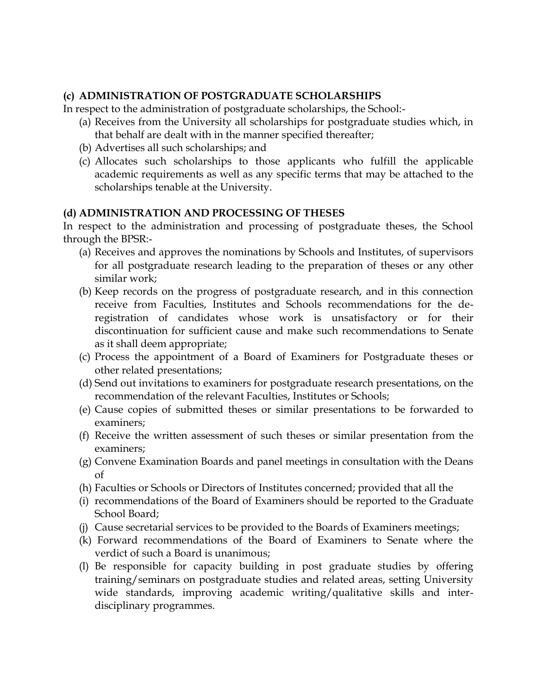# **(c) ADMINISTRATION OF POSTGRADUATE SCHOLARSHIPS**

In respect to the administration of postgraduate scholarships, the School:-

- (a) Receives from the University all scholarships for postgraduate studies which, in that behalf are dealt with in the manner specified thereafter;
- (b) Advertises all such scholarships; and
- (c) Allocates such scholarships to those applicants who fulfill the applicable academic requirements as well as any specific terms that may be attached to the scholarships tenable at the University.

### **(d) ADMINISTRATION AND PROCESSING OF THESES**

In respect to the administration and processing of postgraduate theses, the School through the BPSR:-

- (a) Receives and approves the nominations by Schools and Institutes, of supervisors for all postgraduate research leading to the preparation of theses or any other similar work;
- (b) Keep records on the progress of postgraduate research, and in this connection receive from Faculties, Institutes and Schools recommendations for the deregistration of candidates whose work is unsatisfactory or for their discontinuation for sufficient cause and make such recommendations to Senate as it shall deem appropriate;
- (c) Process the appointment of a Board of Examiners for Postgraduate theses or other related presentations;
- (d) Send out invitations to examiners for postgraduate research presentations, on the recommendation of the relevant Faculties, Institutes or Schools;
- (e) Cause copies of submitted theses or similar presentations to be forwarded to examiners;
- (f) Receive the written assessment of such theses or similar presentation from the examiners;
- (g) Convene Examination Boards and panel meetings in consultation with the Deans of
- (h) Faculties or Schools or Directors of Institutes concerned; provided that all the
- (i) recommendations of the Board of Examiners should be reported to the Graduate School Board;
- (j) Cause secretarial services to be provided to the Boards of Examiners meetings;
- (k) Forward recommendations of the Board of Examiners to Senate where the verdict of such a Board is unanimous;
- (l) Be responsible for capacity building in post graduate studies by offering training/seminars on postgraduate studies and related areas, setting University wide standards, improving academic writing/qualitative skills and interdisciplinary programmes.